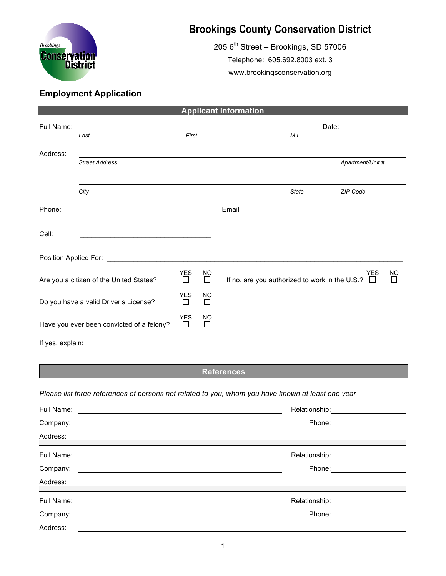

## **Brookings County Conservation District**

 $205$  6<sup>th</sup> Street – Brookings, SD 57006 Telephone: 605.692.8003 ext. 3 www.brookingsconservation.org

## **Employment Application**

| <b>Applicant Information</b>              |                                                                                                                                                                                                                                      |                 |                     |                                                                     |              |  |  |  |  |  |  |
|-------------------------------------------|--------------------------------------------------------------------------------------------------------------------------------------------------------------------------------------------------------------------------------------|-----------------|---------------------|---------------------------------------------------------------------|--------------|--|--|--|--|--|--|
| Full Name:                                |                                                                                                                                                                                                                                      |                 |                     | Date:                                                               |              |  |  |  |  |  |  |
|                                           | Last                                                                                                                                                                                                                                 | First           |                     | M.I.                                                                |              |  |  |  |  |  |  |
| Address:                                  |                                                                                                                                                                                                                                      |                 |                     |                                                                     |              |  |  |  |  |  |  |
|                                           | <b>Street Address</b>                                                                                                                                                                                                                |                 |                     | Apartment/Unit #                                                    |              |  |  |  |  |  |  |
|                                           |                                                                                                                                                                                                                                      |                 |                     |                                                                     |              |  |  |  |  |  |  |
|                                           | City                                                                                                                                                                                                                                 |                 |                     | <b>State</b><br>ZIP Code                                            |              |  |  |  |  |  |  |
| Phone:                                    | <u> 1980 - Johann John Stein, markin santa a</u>                                                                                                                                                                                     |                 |                     | Email                                                               |              |  |  |  |  |  |  |
|                                           |                                                                                                                                                                                                                                      |                 |                     |                                                                     |              |  |  |  |  |  |  |
| Cell:                                     |                                                                                                                                                                                                                                      |                 |                     |                                                                     |              |  |  |  |  |  |  |
|                                           | Position Applied For: <u>Community Contract Community Contract Community Contract Community Contract Community Community Community Community Community Community Community Community Community Community Community Community Com</u> |                 |                     |                                                                     |              |  |  |  |  |  |  |
| Are you a citizen of the United States?   |                                                                                                                                                                                                                                      | <b>YES</b><br>□ | <b>NO</b><br>$\Box$ | <b>YES</b><br>If no, are you authorized to work in the U.S.? $\Box$ | NO<br>$\Box$ |  |  |  |  |  |  |
| Do you have a valid Driver's License?     |                                                                                                                                                                                                                                      | <b>YES</b><br>□ | NO<br>$\Box$        |                                                                     |              |  |  |  |  |  |  |
| Have you ever been convicted of a felony? |                                                                                                                                                                                                                                      | <b>YES</b><br>П | <b>NO</b><br>$\Box$ |                                                                     |              |  |  |  |  |  |  |
| If yes, explain:                          |                                                                                                                                                                                                                                      |                 |                     |                                                                     |              |  |  |  |  |  |  |

## **References**

## *Please list three references of persons not related to you, whom you have known at least one year*

| Full Name:                                                                                                                       | Relationship:                     |  |
|----------------------------------------------------------------------------------------------------------------------------------|-----------------------------------|--|
| Company:                                                                                                                         | Phone:                            |  |
| Address:<br><u> 1989 - Johann Stoff, amerikansk politiker (* 1908)</u>                                                           |                                   |  |
| Full Name:                                                                                                                       | Relationship: <b>Netable 1996</b> |  |
| Company:<br><u> 1989 - Jan Samuel Barbara, margaret e populari e populari e populari e populari e populari e populari e popu</u> | Phone: <u>_____________</u>       |  |
| Address:                                                                                                                         |                                   |  |
| Full Name:                                                                                                                       | Relationship:                     |  |
| Company:                                                                                                                         | Phone:                            |  |
| Address:                                                                                                                         |                                   |  |